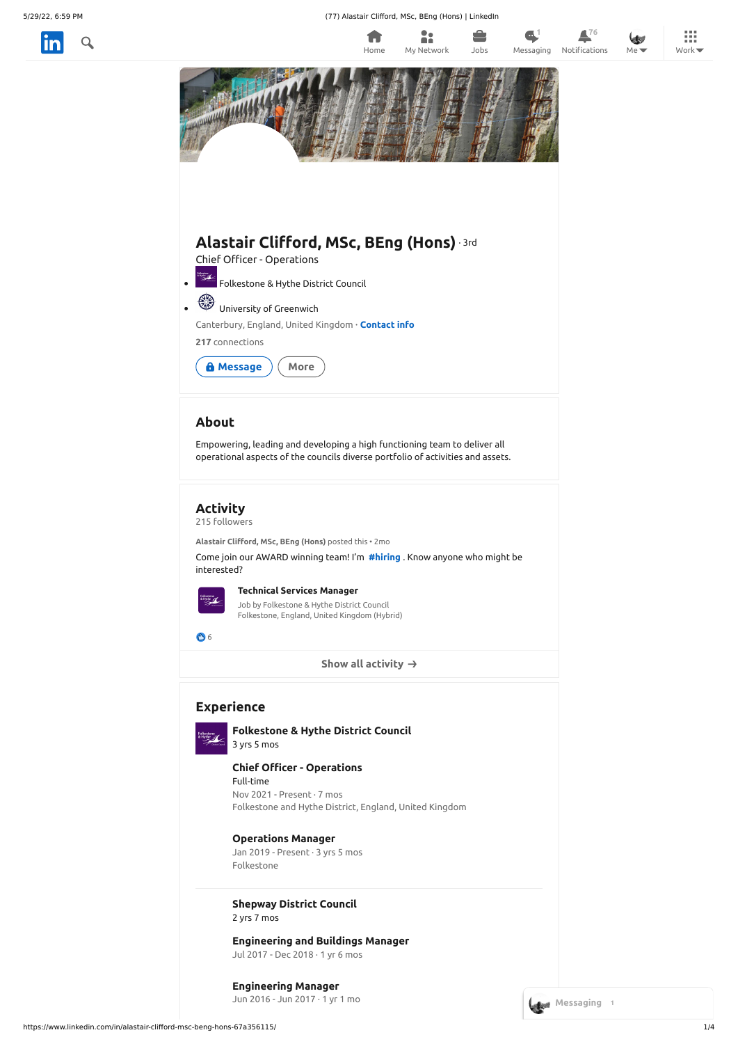5/29/22, 6:59 PM (77) Alastair Clifford, MSc, BEng (Hons) | LinkedIn

П

H.





**Show all [activity](https://www.linkedin.com/in/alastair-clifford-msc-beng-hons-67a356115/recent-activity/)**

**[Technical](https://www.linkedin.com/feed/update/urn:li:activity:6909521445278629888?updateEntityUrn=urn%3Ali%3Afs_updateV2%3A%28urn%3Ali%3Aactivity%3A6909521445278629888%2CFEED_DETAIL%2CEMPTY%2CDEFAULT%2Cfalse%29) Services Manager**

Job by Folkestone & Hythe District Council Folkestone, England, United Kingdom (Hybrid)

86

# **Experience**



**[Folkestone](https://www.linkedin.com/company/18603050/) & Hythe District Council** 3 yrs 5 mos

## **[Operations](https://www.linkedin.com/company/18603050/) Manager**

Jan 2019 - Present · 3 yrs 5 mos Folkestone

**Chief Officer - [Operations](https://www.linkedin.com/company/18603050/)** Full-time



<span id="page-0-0"></span>

| <b>Folkestone</b><br>& Hythe<br><b>Newist Co</b> |
|--------------------------------------------------|
|                                                  |

Nov 2021 - Present · 7 mos Folkestone and Hythe District, England, United Kingdom

## **[Shepway](https://www.linkedin.com/company/318190/) District Council**

2 yrs 7 mos

## **[Engineering](https://www.linkedin.com/company/318190/) Manager**

Jun 2016 - Jun 2017 · 1 yr 1 mo

## **[Engineering](https://www.linkedin.com/company/318190/) and Buildings Manager**

Jul 2017 - Dec 2018 · 1 yr 6 mos

**1 76**

排

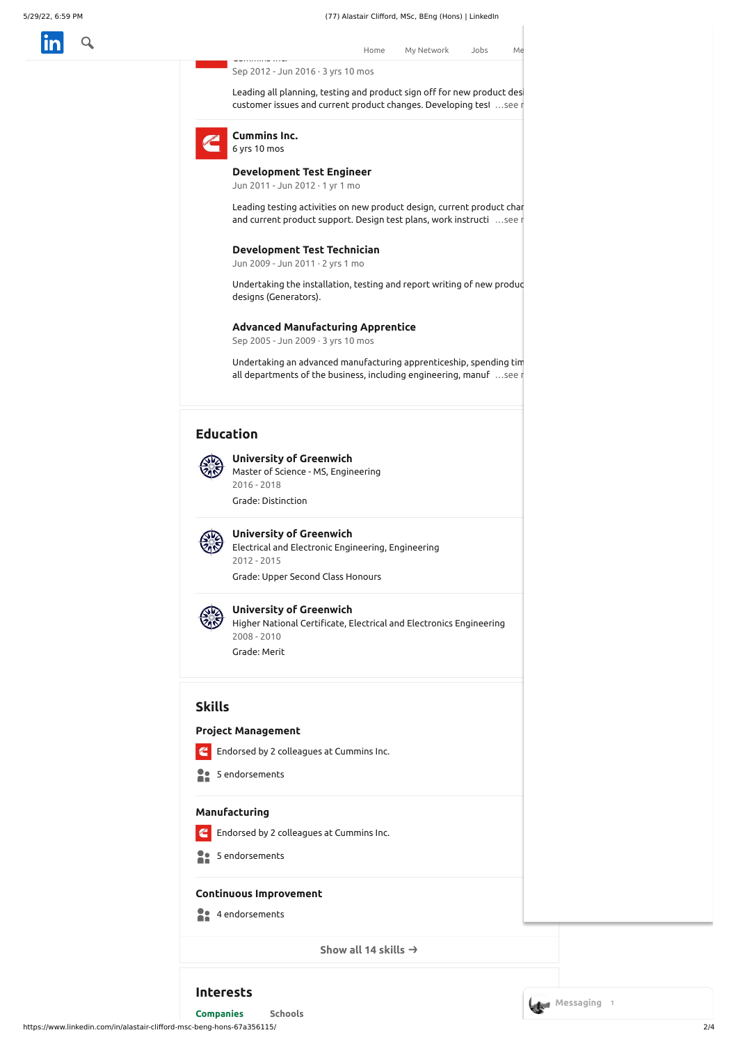

**Group Leader Engineering [Techno](https://www.linkedin.com/feed/)logy and [Operations](https://www.linkedin.com/jobs/)** Home My [Network](https://www.linkedin.com/mynetwork/) Jobs Me

Cummins Inc.

Sep 2012 - Jun 2016 · 3 yrs 10 mos

Leading all planning, testing and product sign off for new product des customer issues and current product changes. Developing test ... see r



**[Cummins](https://www.linkedin.com/company/3625/) Inc.**

6 yrs 10 mos

Undertaking the installation, testing and report writing of new produc designs (Generators).

#### **Advanced [Manufacturing](https://www.linkedin.com/company/3625/) Apprentice**

<span id="page-1-0"></span>Sep 2005 - Jun 2009 · 3 yrs 10 mos

Undertaking an advanced manufacturing apprenticeship, spending tim all departments of the business, including engineering, manuf ...see r

#### **[Development](https://www.linkedin.com/company/3625/) Test Engineer**

Jun 2011 - Jun 2012 · 1 yr 1 mo

Leading testing activities on new product design, current product chan and current product support. Design test plans, work instructi ...seen

#### **[Development](https://www.linkedin.com/company/3625/) Test Technician**

E Endorsed by 2 [colleagues](https://www.linkedin.com/in/alastair-clifford-msc-beng-hons-67a356115/overlay/urn:li:fsd_skill:(ACoAABy0tT4BOTUFJprDwG_uBMq9ZJw4dAem_-8,4)/endorsers?profileUrn=urn%3Ali%3Afsd_profile%3AACoAABy0tT4BOTUFJprDwG_uBMq9ZJw4dAem_-8&tabIndex=1&modalTabIndex=1) at Cummins Inc.

| Manufacturing                                                          |             |
|------------------------------------------------------------------------|-------------|
| Endorsed by 2 colleagues at Cummins Inc.                               |             |
| 5 endorsements                                                         |             |
| <b>Continuous Improvement</b>                                          |             |
| 4 endorsements                                                         |             |
| Show all 14 skills $\rightarrow$                                       |             |
| <b>Interests</b>                                                       | Messaging 1 |
| <b>Schools</b><br><b>Companies</b>                                     |             |
| https://www.linkedin.com/in/alastair-clifford-msc-beng-hons-67a356115/ | 2/4         |

Jun 2009 - Jun 2011 · 2 yrs 1 mo

# **Education**



#### **University of [Greenwich](https://www.linkedin.com/company/15440/)**

Master of Science - MS, Engineering 2016 - 2018 Grade: Distinction

## **University of [Greenwich](https://www.linkedin.com/company/15440/)**

Electrical and Electronic Engineering, Engineering 2012 - 2015

Grade: Upper Second Class Honours



#### **University of [Greenwich](https://www.linkedin.com/company/15440/)**

Higher National Certificate, Electrical and Electronics Engineering 2008 - 2010

Grade: Merit

## **Skills**

#### **Project Management**

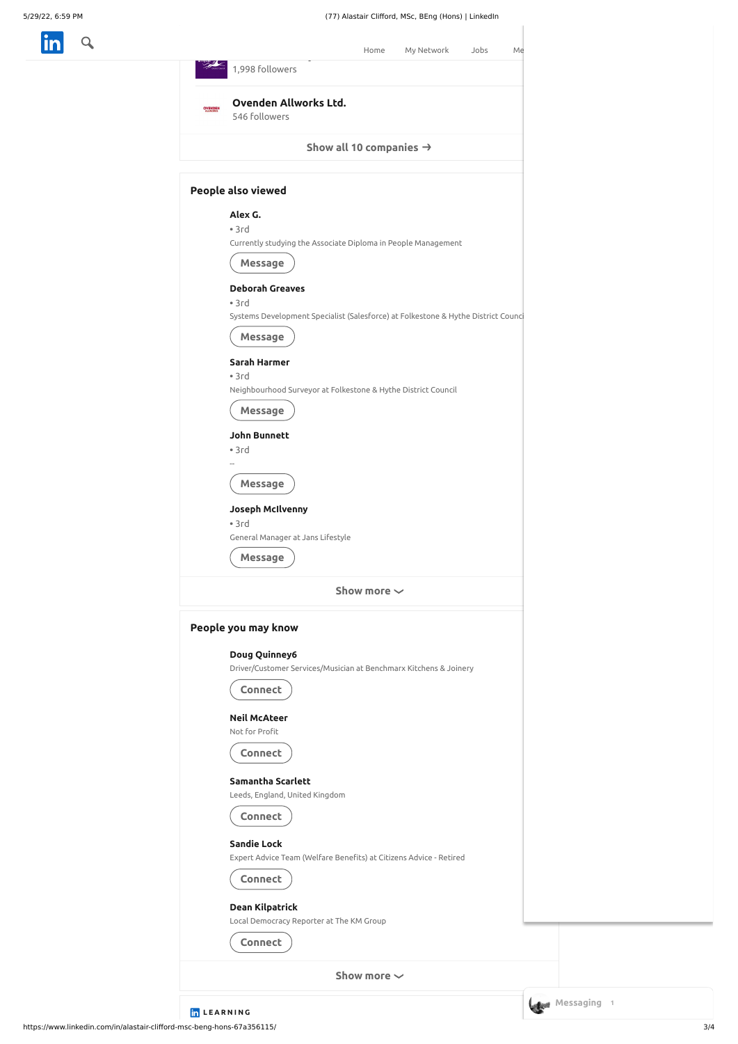in a

|                | (77) Alastair Clifford, MSc, BEng (Hons)   LinkedIn                                                 |
|----------------|-----------------------------------------------------------------------------------------------------|
|                | My Network<br>Home<br>Jobs<br>Me                                                                    |
|                | 1,998 followers                                                                                     |
| <b>OVENDEN</b> | Ovenden Allworks Ltd.<br>546 followers                                                              |
|                | Show all 10 companies $\rightarrow$                                                                 |
|                | People also viewed                                                                                  |
|                | Alex G.<br>•3rd<br>Currently studying the Associate Diploma in People Management<br><b>Message</b>  |
|                | <b>Deborah Greaves</b><br>•3rd                                                                      |
|                | Systems Development Specialist (Salesforce) at Folkestone & Hythe District Counci<br><b>Message</b> |
|                | Sarah Harmer<br>•3rd<br>Neighbourhood Surveyor at Folkestone & Hythe District Council               |
|                | Message                                                                                             |
|                | John Bunnett<br>•3rd                                                                                |
|                | Message                                                                                             |
|                | Joseph McIlvenny<br>•3rd<br>General Manager at Jans Lifestyle                                       |
|                | Message<br>Show more $\sim$                                                                         |
|                |                                                                                                     |
|                | People you may know                                                                                 |
|                | Doug Quinney6<br>Driver/Customer Services/Musician at Benchmarx Kitchens & Joinery<br>Connect       |
|                | <b>Neil McAteer</b><br>Not for Profit                                                               |
|                | <b>Connect</b>                                                                                      |
|                | Samantha Scarlett                                                                                   |

https://www.linkedin.com/in/alastair-clifford-msc-beng-hons-67a356115/ 3/4

**Show more**

# **Connect**

Leeds, England, United Kingdom



## **[Sandie](https://www.linkedin.com/in/sandie-lock-b1b59692/) Lock**

Expert Advice Team (Welfare Benefits) at Citizens Advice - Retired



## **Dean [Kilpatrick](https://www.linkedin.com/in/dean-kilpatrick-58518777/)**

Local Democracy Reporter at The KM Group

**L E A R N I N G**